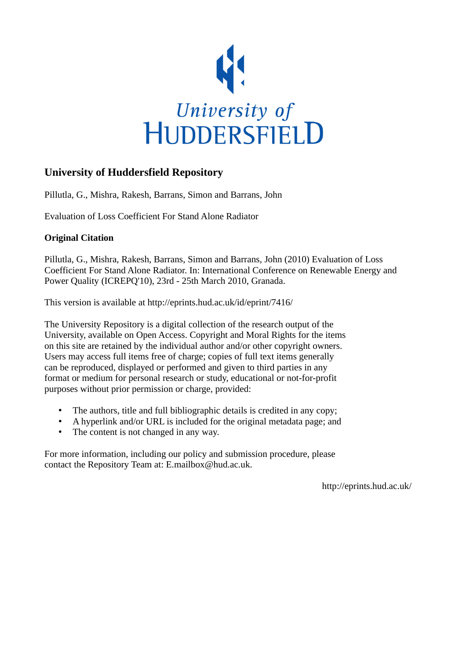

# **University of Huddersfield Repository**

Pillutla, G., Mishra, Rakesh, Barrans, Simon and Barrans, John

Evaluation of Loss Coefficient For Stand Alone Radiator

# **Original Citation**

Pillutla, G., Mishra, Rakesh, Barrans, Simon and Barrans, John (2010) Evaluation of Loss Coefficient For Stand Alone Radiator. In: International Conference on Renewable Energy and Power Quality (ICREPQ'10), 23rd - 25th March 2010, Granada.

This version is available at http://eprints.hud.ac.uk/id/eprint/7416/

The University Repository is a digital collection of the research output of the University, available on Open Access. Copyright and Moral Rights for the items on this site are retained by the individual author and/or other copyright owners. Users may access full items free of charge; copies of full text items generally can be reproduced, displayed or performed and given to third parties in any format or medium for personal research or study, educational or not-for-profit purposes without prior permission or charge, provided:

- The authors, title and full bibliographic details is credited in any copy;
- A hyperlink and/or URL is included for the original metadata page; and
- The content is not changed in any way.

For more information, including our policy and submission procedure, please contact the Repository Team at: E.mailbox@hud.ac.uk.

http://eprints.hud.ac.uk/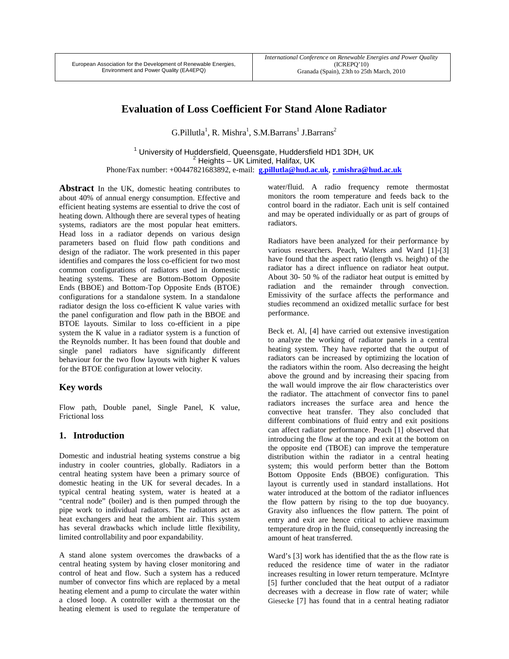# **Evaluation of Loss Coefficient For Stand Alone Radiator**

 $G.Pillutla<sup>1</sup>, R. Mishra<sup>1</sup>, S.M.Barrans<sup>1</sup> J.Barrans<sup>2</sup>$ 

<sup>1</sup> University of Huddersfield, Queensgate, Huddersfield HD1 3DH, UK  $2$  Heights – UK Limited, Halifax, UK Phone/Fax number: +00447821683892, e-mail: **g.pillutla@hud.ac.uk**, **r.mishra@hud.ac.uk**

Abstract In the UK, domestic heating contributes to about 40% of annual energy consumption. Effective and efficient heating systems are essential to drive the cost of heating down. Although there are several types of heating systems, radiators are the most popular heat emitters. Head loss in a radiator depends on various design parameters based on fluid flow path conditions and design of the radiator. The work presented in this paper identifies and compares the loss co-efficient for two most common configurations of radiators used in domestic heating systems. These are Bottom-Bottom Opposite Ends (BBOE) and Bottom-Top Opposite Ends (BTOE) configurations for a standalone system. In a standalone radiator design the loss co-efficient K value varies with the panel configuration and flow path in the BBOE and BTOE layouts. Similar to loss co-efficient in a pipe system the K value in a radiator system is a function of the Reynolds number. It has been found that double and single panel radiators have significantly different behaviour for the two flow layouts with higher K values for the BTOE configuration at lower velocity.

### **Key words**

Flow path, Double panel, Single Panel, K value, Frictional loss

## **1. Introduction**

Domestic and industrial heating systems construe a big industry in cooler countries, globally. Radiators in a central heating system have been a primary source of domestic heating in the UK for several decades. In a typical central heating system, water is heated at a "central node" (boiler) and is then pumped through the pipe work to individual radiators. The radiators act as heat exchangers and heat the ambient air. This system has several drawbacks which include little flexibility, limited controllability and poor expandability.

A stand alone system overcomes the drawbacks of a central heating system by having closer monitoring and control of heat and flow. Such a system has a reduced number of convector fins which are replaced by a metal heating element and a pump to circulate the water within a closed loop. A controller with a thermostat on the heating element is used to regulate the temperature of water/fluid. A radio frequency remote thermostat monitors the room temperature and feeds back to the control board in the radiator. Each unit is self contained and may be operated individually or as part of groups of radiators.

Radiators have been analyzed for their performance by various researchers. Peach, Walters and Ward [1]-[3] have found that the aspect ratio (length vs. height) of the radiator has a direct influence on radiator heat output. About 30- 50 % of the radiator heat output is emitted by radiation and the remainder through convection. Emissivity of the surface affects the performance and studies recommend an oxidized metallic surface for best performance.

Beck et. Al, [4] have carried out extensive investigation to analyze the working of radiator panels in a central heating system. They have reported that the output of radiators can be increased by optimizing the location of the radiators within the room. Also decreasing the height above the ground and by increasing their spacing from the wall would improve the air flow characteristics over the radiator. The attachment of convector fins to panel radiators increases the surface area and hence the convective heat transfer. They also concluded that different combinations of fluid entry and exit positions can affect radiator performance. Peach [1] observed that introducing the flow at the top and exit at the bottom on the opposite end (TBOE) can improve the temperature distribution within the radiator in a central heating system; this would perform better than the Bottom Bottom Opposite Ends (BBOE) configuration. This layout is currently used in standard installations. Hot water introduced at the bottom of the radiator influences the flow pattern by rising to the top due buoyancy. Gravity also influences the flow pattern. The point of entry and exit are hence critical to achieve maximum temperature drop in the fluid, consequently increasing the amount of heat transferred.

Ward's [3] work has identified that the as the flow rate is reduced the residence time of water in the radiator increases resulting in lower return temperature. McIntyre [5] further concluded that the heat output of a radiator decreases with a decrease in flow rate of water; while Giesecke [7] has found that in a central heating radiator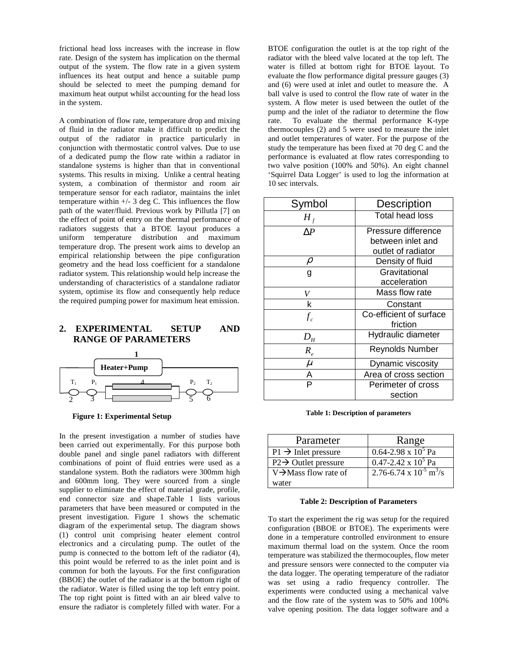frictional head loss increases with the increase in flow rate. Design of the system has implication on the thermal output of the system. The flow rate in a given system influences its heat output and hence a suitable pump should be selected to meet the pumping demand for maximum heat output whilst accounting for the head loss in the system.

A combination of flow rate, temperature drop and mixing of fluid in the radiator make it difficult to predict the output of the radiator in practice particularly in conjunction with thermostatic control valves. Due to use of a dedicated pump the flow rate within a radiator in standalone systems is higher than that in conventional systems. This results in mixing. Unlike a central heating system, a combination of thermistor and room air temperature sensor for each radiator, maintains the inlet temperature within  $+/- 3$  deg C. This influences the flow path of the water/fluid. Previous work by Pillutla [7] on the effect of point of entry on the thermal performance of radiators suggests that a BTOE layout produces a uniform temperature distribution and maximum temperature drop. The present work aims to develop an empirical relationship between the pipe configuration geometry and the head loss coefficient for a standalone radiator system. This relationship would help increase the understanding of characteristics of a standalone radiator system, optimise its flow and consequently help reduce the required pumping power for maximum heat emission.

## **2. EXPERIMENTAL SETUP AND RANGE OF PARAMETERS**



**Figure 1: Experimental Setup** 

In the present investigation a number of studies have been carried out experimentally. For this purpose both double panel and single panel radiators with different combinations of point of fluid entries were used as a standalone system. Both the radiators were 300mm high and 600mm long. They were sourced from a single supplier to eliminate the effect of material grade, profile, end connector size and shape.Table 1 lists various parameters that have been measured or computed in the present investigation. Figure 1 shows the schematic diagram of the experimental setup. The diagram shows (1) control unit comprising heater element control electronics and a circulating pump. The outlet of the pump is connected to the bottom left of the radiator (4), this point would be referred to as the inlet point and is common for both the layouts. For the first configuration (BBOE) the outlet of the radiator is at the bottom right of the radiator. Water is filled using the top left entry point. The top right point is fitted with an air bleed valve to ensure the radiator is completely filled with water. For a

BTOE configuration the outlet is at the top right of the radiator with the bleed valve located at the top left. The water is filled at bottom right for BTOE layout. To evaluate the flow performance digital pressure gauges (3) and (6) were used at inlet and outlet to measure the. A ball valve is used to control the flow rate of water in the system. A flow meter is used between the outlet of the pump and the inlet of the radiator to determine the flow rate. To evaluate the thermal performance K-type thermocouples (2) and 5 were used to measure the inlet and outlet temperatures of water. For the purpose of the study the temperature has been fixed at 70 deg C and the performance is evaluated at flow rates corresponding to two valve position (100% and 50%). An eight channel 'Squirrel Data Logger' is used to log the information at 10 sec intervals.

| Symbol                     | <b>Description</b>      |
|----------------------------|-------------------------|
| $H_f$                      | <b>Total head loss</b>  |
| ΛP                         | Pressure difference     |
|                            | between inlet and       |
|                            | outlet of radiator      |
| $\rho$                     | Density of fluid        |
| g                          | Gravitational           |
|                            | acceleration            |
| V                          | Mass flow rate          |
| k                          | Constant                |
| $f_c$                      | Co-efficient of surface |
|                            | friction                |
| $D_{\scriptscriptstyle H}$ | Hydraulic diameter      |
| $R_{\scriptscriptstyle e}$ | <b>Reynolds Number</b>  |
| $\mu$                      | Dynamic viscosity       |
| А                          | Area of cross section   |
| P                          | Perimeter of cross      |
|                            | section                 |

**Table 1: Description of parameters**

| Parameter                         | Range                                          |
|-----------------------------------|------------------------------------------------|
| $P1 \rightarrow$ Inlet pressure   | $\overline{0.64-2.98 \times 10^5}$ Pa          |
| $P2 \rightarrow$ Outlet pressure  | $0.47 - 2.42 \times 10^5$ Pa                   |
| $V \rightarrow$ Mass flow rate of | $2.76 - 6.74 \times 10^{-5}$ m <sup>3</sup> /s |
| water                             |                                                |

#### **Table 2: Description of Parameters**

To start the experiment the rig was setup for the required configuration (BBOE or BTOE). The experiments were done in a temperature controlled environment to ensure maximum thermal load on the system. Once the room temperature was stabilized the thermocouples, flow meter and pressure sensors were connected to the computer via the data logger. The operating temperature of the radiator was set using a radio frequency controller. The experiments were conducted using a mechanical valve and the flow rate of the system was to 50% and 100% valve opening position. The data logger software and a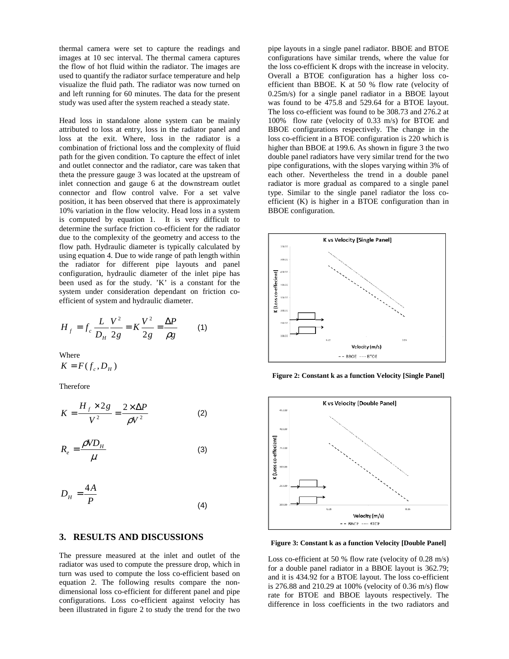thermal camera were set to capture the readings and images at 10 sec interval. The thermal camera captures the flow of hot fluid within the radiator. The images are used to quantify the radiator surface temperature and help visualize the fluid path. The radiator was now turned on and left running for 60 minutes. The data for the present study was used after the system reached a steady state.

Head loss in standalone alone system can be mainly attributed to loss at entry, loss in the radiator panel and loss at the exit. Where, loss in the radiator is a combination of frictional loss and the complexity of fluid path for the given condition. To capture the effect of inlet and outlet connector and the radiator, care was taken that theta the pressure gauge 3 was located at the upstream of inlet connection and gauge 6 at the downstream outlet connector and flow control valve. For a set valve position, it has been observed that there is approximately 10% variation in the flow velocity. Head loss in a system is computed by equation 1. It is very difficult to determine the surface friction co-efficient for the radiator due to the complexity of the geometry and access to the flow path. Hydraulic diameter is typically calculated by using equation 4. Due to wide range of path length within the radiator for different pipe layouts and panel configuration, hydraulic diameter of the inlet pipe has been used as for the study. 'K' is a constant for the system under consideration dependant on friction coefficient of system and hydraulic diameter.

$$
H_f = f_c \frac{L}{D_H} \frac{V^2}{2g} = K \frac{V^2}{2g} = \frac{\Delta P}{\rho g}
$$
 (1)

Where

$$
K = F(f_c, D_H)
$$

Therefore

$$
K = \frac{H_f \times 2g}{V^2} = \frac{2 \times \Delta P}{\rho V^2}
$$
 (2)

$$
R_e = \frac{\rho V D_H}{\mu} \tag{3}
$$

$$
D_H = \frac{4A}{P}
$$
 (4)

## **3. RESULTS AND DISCUSSIONS**

The pressure measured at the inlet and outlet of the radiator was used to compute the pressure drop, which in turn was used to compute the loss co-efficient based on equation 2. The following results compare the nondimensional loss co-efficient for different panel and pipe configurations. Loss co-efficient against velocity has been illustrated in figure 2 to study the trend for the two

pipe layouts in a single panel radiator. BBOE and BTOE configurations have similar trends, where the value for the loss co-efficient K drops with the increase in velocity. Overall a BTOE configuration has a higher loss coefficient than BBOE. K at 50 % flow rate (velocity of 0.25m/s) for a single panel radiator in a BBOE layout was found to be 475.8 and 529.64 for a BTOE layout. The loss co-efficient was found to be 308.73 and 276.2 at 100% flow rate (velocity of 0.33 m/s) for BTOE and BBOE configurations respectively. The change in the loss co-efficient in a BTOE configuration is 220 which is higher than BBOE at 199.6. As shown in figure 3 the two double panel radiators have very similar trend for the two pipe configurations, with the slopes varying within 3% of each other. Nevertheless the trend in a double panel radiator is more gradual as compared to a single panel type. Similar to the single panel radiator the loss coefficient (K) is higher in a BTOE configuration than in BBOE configuration.



**Figure 2: Constant k as a function Velocity [Single Panel]** 



**Figure 3: Constant k as a function Velocity [Double Panel]** 

Loss co-efficient at 50 % flow rate (velocity of 0.28 m/s) for a double panel radiator in a BBOE layout is 362.79; and it is 434.92 for a BTOE layout. The loss co-efficient is 276.88 and 210.29 at 100% (velocity of 0.36 m/s) flow rate for BTOE and BBOE layouts respectively. The difference in loss coefficients in the two radiators and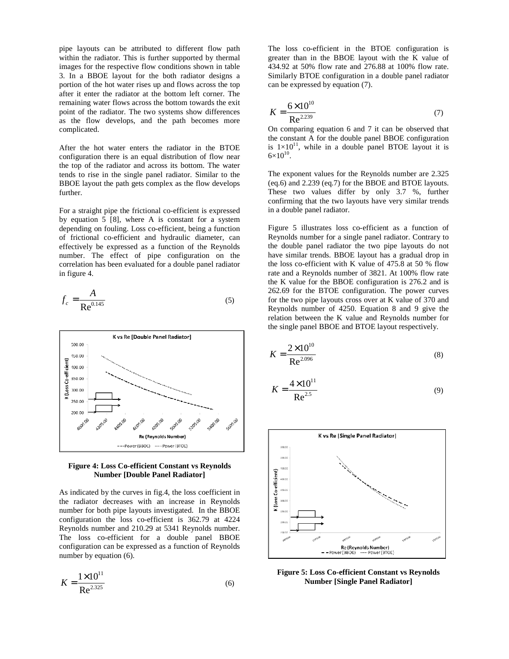pipe layouts can be attributed to different flow path within the radiator. This is further supported by thermal images for the respective flow conditions shown in table 3. In a BBOE layout for the both radiator designs a portion of the hot water rises up and flows across the top after it enter the radiator at the bottom left corner. The remaining water flows across the bottom towards the exit point of the radiator. The two systems show differences as the flow develops, and the path becomes more complicated.

After the hot water enters the radiator in the BTOE configuration there is an equal distribution of flow near the top of the radiator and across its bottom. The water tends to rise in the single panel radiator. Similar to the BBOE layout the path gets complex as the flow develops further.

For a straight pipe the frictional co-efficient is expressed by equation 5 [8], where A is constant for a system depending on fouling. Loss co-efficient, being a function of frictional co-efficient and hydraulic diameter, can effectively be expressed as a function of the Reynolds number. The effect of pipe configuration on the correlation has been evaluated for a double panel radiator in figure 4.

$$
f_c = \frac{A}{\text{Re}^{0.145}}\tag{5}
$$





As indicated by the curves in fig.4, the loss coefficient in the radiator decreases with an increase in Reynolds number for both pipe layouts investigated. In the BBOE configuration the loss co-efficient is 362.79 at 4224 Reynolds number and 210.29 at 5341 Reynolds number. The loss co-efficient for a double panel BBOE configuration can be expressed as a function of Reynolds number by equation (6).

$$
K = \frac{1 \times 10^{11}}{\text{Re}^{2.325}}\tag{6}
$$

The loss co-efficient in the BTOE configuration is greater than in the BBOE layout with the K value of 434.92 at 50% flow rate and 276.88 at 100% flow rate. Similarly BTOE configuration in a double panel radiator can be expressed by equation (7).

$$
K = \frac{6 \times 10^{10}}{\text{Re}^{2.239}}\tag{7}
$$

On comparing equation 6 and 7 it can be observed that the constant A for the double panel BBOE configuration is  $1\times10^{11}$ , while in a double panel BTOE layout it is  $6 \times 10^{10}$ .

The exponent values for the Reynolds number are 2.325 (eq.6) and 2.239 (eq.7) for the BBOE and BTOE layouts. These two values differ by only 3.7 %, further confirming that the two layouts have very similar trends in a double panel radiator.

Figure 5 illustrates loss co-efficient as a function of Reynolds number for a single panel radiator. Contrary to the double panel radiator the two pipe layouts do not have similar trends. BBOE layout has a gradual drop in the loss co-efficient with K value of 475.8 at 50 % flow rate and a Reynolds number of 3821. At 100% flow rate the K value for the BBOE configuration is 276.2 and is 262.69 for the BTOE configuration. The power curves for the two pipe layouts cross over at K value of 370 and Reynolds number of 4250. Equation 8 and 9 give the relation between the K value and Reynolds number for the single panel BBOE and BTOE layout respectively.

$$
K = \frac{2 \times 10^{10}}{\text{Re}^{2.096}}\tag{8}
$$

$$
K = \frac{4 \times 10^{11}}{\text{Re}^{2.5}}\tag{9}
$$



**Figure 5: Loss Co-efficient Constant vs Reynolds Number [Single Panel Radiator]**